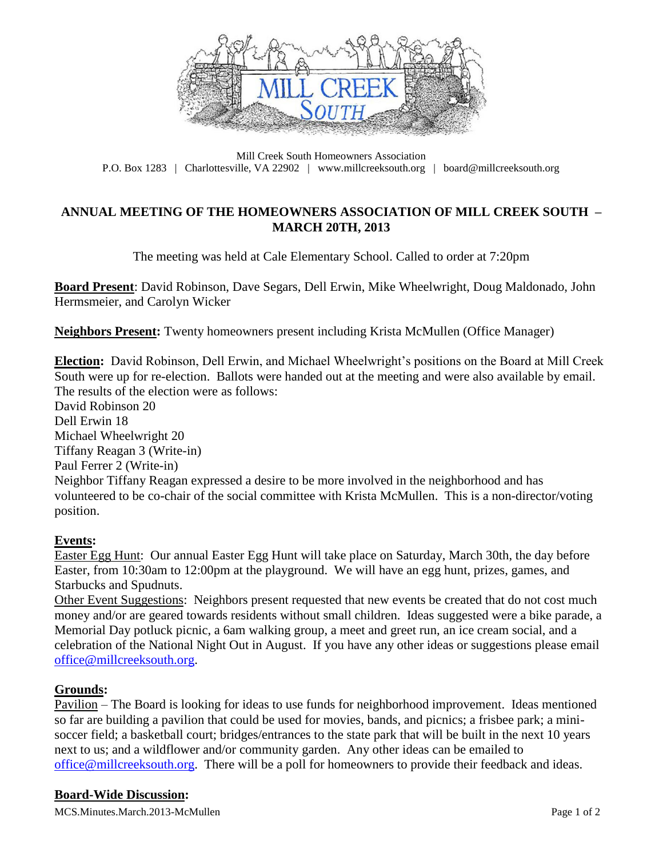

Mill Creek South Homeowners Association P.O. Box 1283 | Charlottesville, VA 22902 | www.millcreeksouth.org | board@millcreeksouth.org

# **ANNUAL MEETING OF THE HOMEOWNERS ASSOCIATION OF MILL CREEK SOUTH – MARCH 20TH, 2013**

The meeting was held at Cale Elementary School. Called to order at 7:20pm

**Board Present**: David Robinson, Dave Segars, Dell Erwin, Mike Wheelwright, Doug Maldonado, John Hermsmeier, and Carolyn Wicker

**Neighbors Present:** Twenty homeowners present including Krista McMullen (Office Manager)

**Election:** David Robinson, Dell Erwin, and Michael Wheelwright's positions on the Board at Mill Creek South were up for re-election. Ballots were handed out at the meeting and were also available by email. The results of the election were as follows: David Robinson 20

Dell Erwin 18 Michael Wheelwright 20 Tiffany Reagan 3 (Write-in) Paul Ferrer 2 (Write-in) Neighbor Tiffany Reagan expressed a desire to be more involved in the neighborhood and has volunteered to be co-chair of the social committee with Krista McMullen. This is a non-director/voting position.

## **Events:**

Easter Egg Hunt: Our annual Easter Egg Hunt will take place on Saturday, March 30th, the day before Easter, from 10:30am to 12:00pm at the playground. We will have an egg hunt, prizes, games, and Starbucks and Spudnuts.

Other Event Suggestions: Neighbors present requested that new events be created that do not cost much money and/or are geared towards residents without small children. Ideas suggested were a bike parade, a Memorial Day potluck picnic, a 6am walking group, a meet and greet run, an ice cream social, and a celebration of the National Night Out in August. If you have any other ideas or suggestions please email [office@millcreeksouth.org.](mailto:office@millcreeksouth.org)

## **Grounds:**

Pavilion – The Board is looking for ideas to use funds for neighborhood improvement. Ideas mentioned so far are building a pavilion that could be used for movies, bands, and picnics; a frisbee park; a minisoccer field; a basketball court; bridges/entrances to the state park that will be built in the next 10 years next to us; and a wildflower and/or community garden. Any other ideas can be emailed to [office@millcreeksouth.org.](mailto:office@millcreeksouth.org) There will be a poll for homeowners to provide their feedback and ideas.

## **Board-Wide Discussion:**

MCS.Minutes.March.2013-McMullen Page 1 of 2